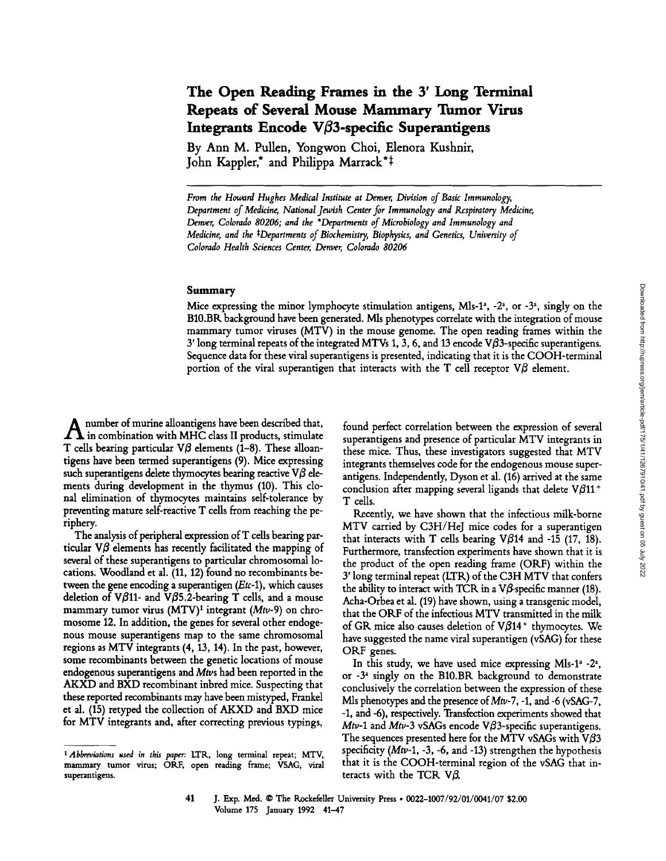# **The Open Reading Frames in the 3' Long Terminal Repeats of Several Mouse Mammary Tumor Virus**  Integrants Encode  $\nabla\beta$ 3-specific Superantigens

**By Ann M. Pullen, Yongwon Choi, Elenora Kushnir,**  John Kappler,<sup>\*</sup> and Philippa Marrack<sup>\*</sup><sup>+</sup>

*From the Howard Hughes Medical Institute at Denver, Division of Basic Immunology, Department of Medicine, National Jewish Center.for Immunology and Respiratory Medicine, Denver, Colorado 80206; and the \*Departments of Microbiology and Immunology and Medicine, and the \*Departments of Biochemistry, Biophysics, and Genetics, University of Colorado Health Sciences Center, Denver, Colorado 80206* 

## Summary

Mice expressing the minor lymphocyte stimulation antigens, Mls-1<sup>2</sup>, -2<sup>2</sup>, or -3<sup>2</sup>, singly on the B10.BR background have been generated. Mls phenotypes correlate with the integration of mouse mammary tumor viruses (MTV) in the mouse genome. The open reading frames within the  $3'$  long terminal repeats of the integrated MTVs 1, 3, 6, and 13 encode V $\beta$ 3-specific superantigens. Sequence data for these viral superantigens is presented, indicating that it is the COOH-terminal portion of the viral superantigen that interacts with the T cell receptor  $\nabla\beta$  element.

A number of murine aUoantigens have been described that,  $\Lambda$  in combination with MHC class II products, stimulate T cells bearing particular  $\nabla\beta$  elements (1-8). These alloantigens have been termed superantigens (9). Mice expressing such superantigens delete thymocytes bearing reactive  $\nabla\beta$  elements during development in the thymus (10). This clonal elimination of thymocytes maintains self-tolerance by preventing mature self-reactive T cells from reaching the periphery.

The analysis of peripheral expression ofT cells bearing particular  $\nabla\beta$  elements has recently facilitated the mapping of several of these superantigens to particular chromosomal locations. Woodland et al. (11, 12) found no recombinants between the gene encoding a superantigen *(Etc-1),* which causes deletion of V $\beta$ 11- and V $\beta$ 5.2-bearing T cells, and a mouse mammary tumor virus (MTV)<sup>1</sup> integrant (Mtv-9) on chromosome 12. In addition, the genes for several other endogenous mouse superantigens map to the same chromosomal regions as MTV integrants (4, 13, 14). In the past, however, some recombinants between the genetic locations of mouse endogenous superantigens and *Mtvs* had been reported in the AKXD and BXD recombinant inbred mice. Suspecting that these reported recombinants may have been mistyped, Frankel et al. (15) retyped the collection of AKXD and BXD mice for MTV integrants and, after correcting previous typings,

found perfect correlation between the expression of several superantigens and presence of particular MTV integrants in these mice. Thus, these investigators suggested that MTV integrants themselves code for the endogenous mouse superantigens. Independently, Dyson et al. (16) arrived at the same conclusion after mapping several ligands that delete  $V\beta 11$ <sup>+</sup> T cells.

Recently, we have shown that the infectious milk-borne MTV carried by C3H/HeJ mice codes for a superantigen that interacts with T cells bearing  $V\beta$ 14 and -15 (17, 18). Furthermore, transfection experiments have shown that it is the product of the open reading frame (ORF) within the 3' long terminal repeat (LTR) of the C3H MTV that confers the ability to interact with TCR in a V $\beta$ -specific manner (18). Acha-Orbea et al. (19) have shown, using a transgenic model, that the OKF of the infectious MTV transmitted in the milk of GR mice also causes deletion of  $V\beta14$ <sup>+</sup> thymocytes. We have suggested the name viral superantigen (vSAG) for these ORF genes.

In this study, we have used mice expressing Mls-1<sup>a</sup> -2<sup>2</sup>, or  $-3^2$  singly on the B10.BR background to demonstrate conclusively the correlation between the expression of these Mls phenotypes and the presence *of Mtv-7,* -1, and -6 (vSAG-7, -1, and -6), respectively. Transfection experiments showed that *Mtv-1* and *Mtv-3* vSAGs encode VB3-specific superantigens. The sequences presented here for the MTV vSAGs with V $\beta$ 3 specificity (Mtv-1, -3, -6, and -13) strengthen the hypothesis that it is the COOH-terminal region of the vSAG that interacts with the TCR V $\beta$ .

*<sup>1</sup> Abbreviations used in this paper:* LTR, long terminal repeat; MTV, mammary tumor virus; ORF, open reading frame; VSAG, viral superantigens.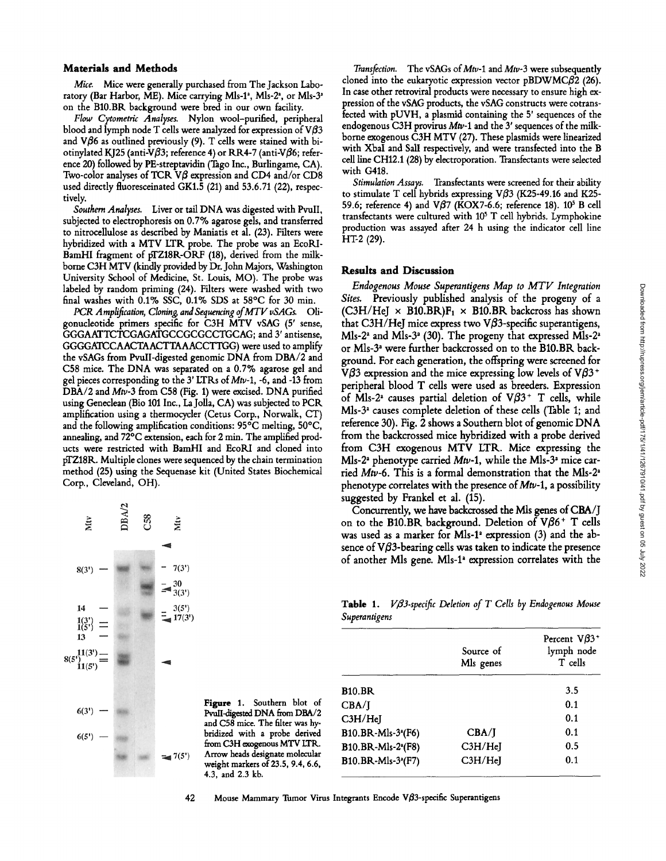#### Materials and **Methods**

*Mice.* Mice were generally purchased from The Jackson Laboratory (Bar Harbor, ME). Mice carrying Mls-1<sup>2</sup>, Mls-2<sup>2</sup>, or Mls-3<sup>2</sup> on the B10.BR background were bred in our own facility.

*Flow Cytometric Analyses.* Nylon wool-purified, peripheral blood and lymph node T cells were analyzed for expression of  $V\beta3$ and V $\beta$ 6 as outlined previously (9). T cells were stained with biotinylated KJ25 (anti-V $\beta$ 3; reference 4) or RR4-7 (anti-V $\beta$ 6; reference 20) followed by PE-streptavidin (Tago Inc., Burlingame, CA). Two-color analyses of TCR  $V\beta$  expression and CD4 and/or CD8 used directly fluoresceinated GK1.5 (21) and 53.6.71 (22), respectively.

*Southern Analyses.* Liver or tail DNA was digested with PvuII, subjected to dectrophoresis on 0.7% agarose gels, and transferred to nitrocellulose as described by Maniatis et al. (23). Filters were hybridized with a MTV LTR probe. The probe was an EcoRI-BamHI fragment of pTZ18R-ORF (18), derived from the milkborne C3H MTV (kindly provided by Dr. John Majors, Washington University School of Medicine, St. Louis, MO). The probe was labeled by random priming (24). Filters were washed with two final washes with 0.1% SSC, 0.1% SDS at 58°C for 30 min.

PCR Amplification, Cloning, and Sequencing of MTV vSAGs. Oligonucleotide primers specific for C3H MTV vSAG (5' sense, GGGAATTCTCGAGATGCCGCGCCTGCAG; and 3' antisense, GGGGATCCAACTAACTTAAACCTTGG) were used to amplify the vSAGs from PvulI-digested genomic DNA from DBA/2 and C58 mice. The DNA was separated on a 0.7% agarose gel and gel pieces corresponding to the 3' LTKs of Mtu-1, -6, and -13 from DBA/2 and Mtv-3 from C58 (Fig. 1) were excised. DNA purified using Geneclean (Bio 101 Inc., LaJolla, CA) was subjected to PCR amplification using a thermocycler (Cetus Corp., Norwalk, CT) and the following amplification conditions:  $95^{\circ}$ C melting,  $50^{\circ}$ C, annealing, and 72°C extension, each for 2 min. The amplified products were restricted with BamHI and EcoRI and cloned into pTZ18R. Multiple clones were sequenced by the chain termination method (25) using the Sequenase kit (United States Biochemical Corp., Cleveland, OH).



Figure 1. Southern blot of PvulI-digested DNA from DBA/2 and C58 mice. The filter was hybridized with a probe derived from C3H exogenous MTV LTR. Arrow heads designate molecular weight markers of 23.5, 9.4, 6.6, 4.3, and 2.3 kb.

*Transfection.* The vSAGs of Mtv-1 and Mtv-3 were subsequently cloned into the eukaryotic expression vector  $pBDWMC\beta2$  (26). In case other retroviral products were necessary to ensure high expression of the vSAG products, the vSAG constructs were cotransfected with pUVH, a plasmid containing the 5' sequences of the endogenous C3H provirus  $Mtv-1$  and the 3' sequences of the milkborne exogenous C3H MTV (27). These plasmids were linearized with XbaI and Sall respectively, and were transfected into the B ceU line CH12.1 (28) by dectroporation. Transfectants were selected with G418.

*Stimulation Assays,* Transfectants were screened for their ability to stimulate T cell hybrids expressing V $\beta$ 3 (K25-49.16 and K25-59.6; reference 4) and *Vfl7* (KOXY-6.6; reference 18). 105 B cell transfectants were cultured with 10<sup>5</sup> T cell hybrids. Lymphokine production was assayed after 24 h using the indicator cell line HT-2 (29).

# **Results and Discussion**

*Endogenous Mouse Superantigens Map to MTV Integration Sites.* Previously published analysis of the progeny of a (C3H/HeJ  $\times$  B10.BR)F<sub>1</sub>  $\times$  B10.BR backcross has shown that C3H/HeJ mice express two V $\beta$ 3-specific superantigens, Mls-2<sup>2</sup> and Mls-3<sup>2</sup> (30). The progeny that expressed Mls-2<sup>2</sup> or Mls-3<sup>a</sup> were further backcrossed on to the B10.BR background. For each generation, the offspring were screened for V $\beta$ 3 expression and the mice expressing low levels of V $\beta$ 3<sup>+</sup> peripheral blood T cells were used as breeders. Expression of Mls-2<sup>2</sup> causes partial deletion of V $\beta$ 3<sup>+</sup> T cells, while  $Mls-3<sup>2</sup>$  causes complete deletion of these cells (Table 1; and reference 30). Fig. 2 shows a Southern blot of genomic DNA from the backcrossed mice hybridized with a probe derived from C3H exogenous MTV LTR. Mice expressing the Mls-2<sup>2</sup> phenotype carried *Mtv*-1, while the Mls-3<sup>2</sup> mice carried Mtv-6. This is a formal demonstration that the Mls-2' phenotype correlates with the presence of  $Mtv-1$ , a possibility suggested by Frankel et al. (15).

Concurrently, we have backcrossed the Mls genes of CBA/J on to the B10.BR background. Deletion of  $V\beta6^+$  T cells was used as a marker for Mls-1<sup>2</sup> expression  $(3)$  and the absence of  $V\beta$ 3-bearing cells was taken to indicate the presence of another Mls gene. Mls-P expression correlates with the

Table 1. *Vß3-specific Deletion of T Cells by Endogenous Mouse Superantigens* 

|                                | Source of<br>Mls genes            | Percent $V\beta3$ <sup>+</sup><br>lymph node<br>T cells |
|--------------------------------|-----------------------------------|---------------------------------------------------------|
| <b>B10.BR</b>                  |                                   | 3.5                                                     |
| CBA/J                          |                                   | 0.1                                                     |
| C3H/HeJ                        |                                   | 0.1                                                     |
| B10.BR-Mls-3 <sup>2</sup> (F6) | CBA/I                             | 0.1                                                     |
| B10.BR-Mls-2 <sup>a</sup> (F8) | C <sub>3</sub> H/H <sub>e</sub> J | 0.5                                                     |
| B10.BR-Mls-3 <sup>2</sup> (F7) | C3H/HeJ                           | 0.1                                                     |

42 Mouse Mammary Tumor Virus Integrants Encode  $V\beta$ 3-specific Superantigens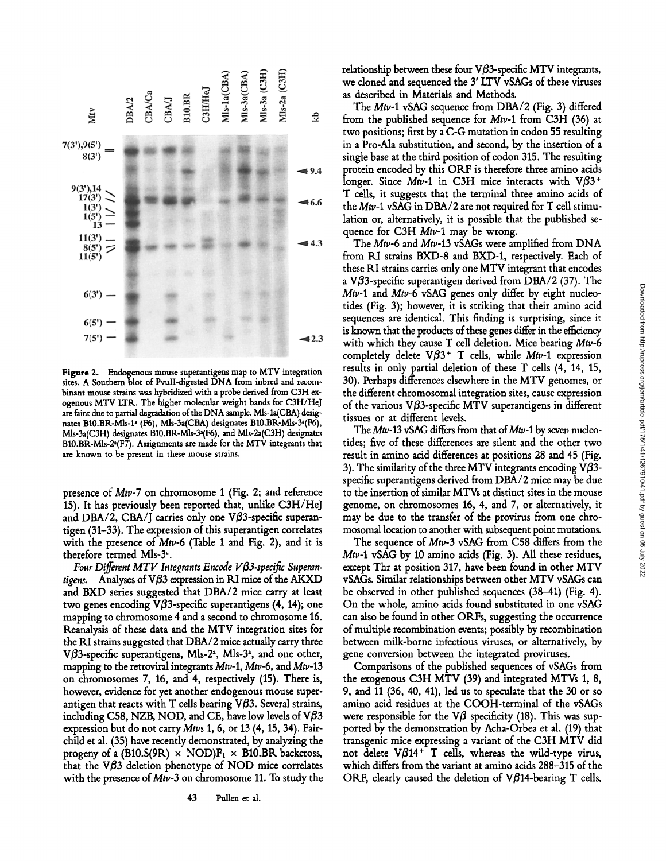

**Figure** 2. Endogenous mouse superantigens map to MTV integration sites. A Southern blot of Pvull-digested DNA from inbred and recombinant mouse strains was hybridized with a probe derived from C3H exogenous MTV LTR. The higher molecular weight bands for C3H/HeJ are faint due to partial degradation of the DNA sample. MIs-la(CBA) designates B10.BR-Mls-1<sup>2</sup> (F6), Mls-3a(CBA) designates B10.BR-Mls-3<sup>2</sup>(F6), MIs-3a(C3H) designates BI0.BK-MIs-3~(F6), and MIs-2a(C3H) designates B10.BR-Mls-2<sup>2</sup>(F7). Assignments are made for the MTV integrants that are known to be present in these mouse strains.

presence of *Mtv-7* on chromosome 1 (Fig. 2; and reference 15). It has previously been reported that, unlike C3H/HeJ and DBA/2, CBA/J carries only one V $\beta$ 3-specific superantigen (31-33). The expression of this superantigen correlates with the presence of *Mtv-6* (Table 1 and Fig. 2), and it is therefore termed Mls-3<sup>2</sup>.

Four Different MTV Integrants Encode Vβ3-specific Superan*tigens.* Analyses of VB3 expression in ILl mice of the AKXD and BXD series suggested that DBA/2 mice carry at least two genes encoding V $\beta$ 3-specific superantigens (4, 14); one mapping to chromosome 4 and a second to chromosome 16. Reanalysis of these data and the MTV integration sites for the RI strains suggested that DBA/2 mice actually carry three V $\beta$ 3-specific superantigens, Mls-2<sup>2</sup>, Mls-3<sup>2</sup>, and one other, mapping to the retroviral integrants  $Mtv-1$ ,  $Mtv-6$ , and  $Mtv-13$ on chromosomes 7, 16, and 4, respectively (15). There is, however, evidence for yet another endogenous mouse superantigen that reacts with T cells bearing  $V\beta3$ . Several strains, including C58, NZB, NOD, and CE, have low levels of  $V\beta3$ expression but do not carry *Mtvs* 1, 6, or 13 (4, 15, 34). Fairchild et al. (35) have recently demonstrated, by analyzing the progeny of a (B10.S(9R)  $\times$  NOD)F<sub>1</sub>  $\times$  B10.BR backcross, that the V $\beta$ 3 deletion phenotype of NOD mice correlates with the presence of Mtv-3 on chromosome 11. To study the relationship between these four V $\beta$ 3-specific MTV integrants, we cloned and sequenced the 3' LTV vSAGs of these viruses as described in Materials and Methods.

The *Mtv-1* vSAG sequence from DBA/2 (Fig. 3) differed from the published sequence for Mtv-1 from C3H (36) at two positions; first by a C-G mutation in codon 55 resulting in a Pro-Ala substitution, and second, by the insertion of a single base at the third position of codon 315. The resulting protein encoded by this ORF is therefore three amino acids longer. Since  $Mtv-1$  in C3H mice interacts with  $V\beta3$ <sup>+</sup> T cells, it suggests that the terminal three amino acids of the  $Mtv-1$  vSAG in DBA/2 are not required for T cell stimulation or, alternatively, it is possible that the published sequence for C3H *Mtv-1* may be wrong.

The *Mtv-6* and *Mtv-13* vSAGs were amplified from DNA from RI strains BXD-8 and BXD-1, respectively. Each of these KI strains carries only one MTV integrant that encodes a V $\beta$ 3-specific superantigen derived from DBA/2 (37). The *Mtv-1* and *Mtv-6* vSAG genes only differ by eight nucleotides (Fig. 3); however, it is striking that their amino acid sequences are identical. This finding is surprising, since it is known that the products of these genes differ in the efficiency with which they cause T cell deletion. Mice bearing *Mtv-6*  completely delete  $V\beta3$ <sup>+</sup> T cells, while Mtv-1 expression results in only partial deletion of these T cells (4, 14, 15, 30). Perhaps differences elsewhere in the MTV genomes, or the different chromosomal integration sites, cause expression of the various V $\beta$ 3-specific MTV superantigens in different tissues or at different levels.

The Mtv-13 vSAG differs from that of Mtv-1 by seven nucleotides; five of these differences are silent and the other two result in amino acid differences at positions 28 and 45 (Fig. 3). The similarity of the three MTV integrants encoding  $V\beta$ 3specific superantigens derived from DBA/2 mice may be due to the insertion of similar MTVs at distinct sites in the mouse genome, on chromosomes 16, 4, and 7, or alternatively, it may be due to the transfer of the provirus from one chromosomal location to another with subsequent point mutations.

The sequence of *Mtv-3* vSAG from C58 differs from the *Mtv-1* vSAG by 10 amino acids (Fig. 3). All these residues, except Thr at position 317, have been found in other MTV vSAGs. Similar relationships between other MTV vSAGs can be observed in other published sequences (38-41) (Fig. 4). On the whole, amino acids found substituted in one vSAG can also be found in other ORFs, suggesting the occurrence of multiple recombination events; possibly by recombination between milk-borne infectious viruses, or alternatively, by gene conversion between the integrated proviruses.

Comparisons of the published sequences of vSAGs from the exogenous C3H MTV (39) and integrated MTVs 1, 8, 9, and 11 (36, 40, 41), led us to speculate that the 30 or so amino acid residues at the COOH-terminal of the vSAGs were responsible for the V $\beta$  specificity (18). This was supported by the demonstration by Acha-Orbea et al. (19) that transgenic mice expressing a variant of the C3H MTV did not delete  $V\beta 14^+$  T cells, whereas the wild-type virus, which differs from the variant at amino acids 288-315 of the ORF, clearly caused the deletion of  $V\beta$ 14-bearing T cells.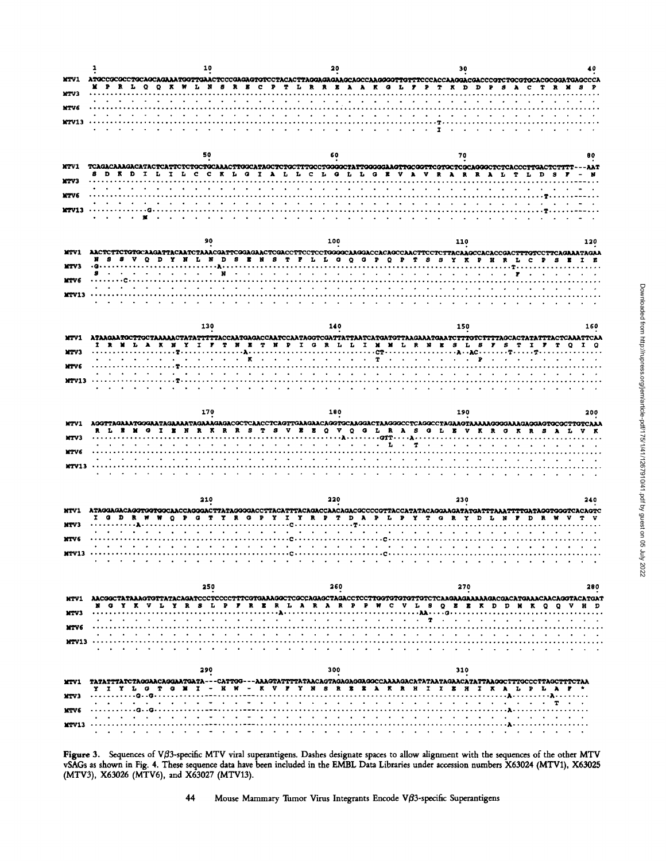|              |                                                                                                                 | 10                                                                                                             |                                                                                                                                                                                                                                                                                                                                                                                                                              | 30                                                                                                                                                                                                                                                                                                                                                                                                                           |     |
|--------------|-----------------------------------------------------------------------------------------------------------------|----------------------------------------------------------------------------------------------------------------|------------------------------------------------------------------------------------------------------------------------------------------------------------------------------------------------------------------------------------------------------------------------------------------------------------------------------------------------------------------------------------------------------------------------------|------------------------------------------------------------------------------------------------------------------------------------------------------------------------------------------------------------------------------------------------------------------------------------------------------------------------------------------------------------------------------------------------------------------------------|-----|
| <b>MTV1</b>  |                                                                                                                 |                                                                                                                |                                                                                                                                                                                                                                                                                                                                                                                                                              | ATGCCGCGCCTGCAGAGAAAATGGTTGAACTCCCGAGAGTGTCCTACACTTAGGAGAAAGCAGCCAAGGGTTGTTTCCCACCAAGGACCCGTCTGCGTGCACGCGGATGAGCCCA                                                                                                                                                                                                                                                                                                          |     |
| MTV3         |                                                                                                                 |                                                                                                                |                                                                                                                                                                                                                                                                                                                                                                                                                              | M P R L Q Q K W L N S R E C P T L R R E A A K G L F P T K D D P S A C T R M S P                                                                                                                                                                                                                                                                                                                                              |     |
| MTV6         |                                                                                                                 |                                                                                                                |                                                                                                                                                                                                                                                                                                                                                                                                                              |                                                                                                                                                                                                                                                                                                                                                                                                                              |     |
| <b>MTV13</b> |                                                                                                                 |                                                                                                                |                                                                                                                                                                                                                                                                                                                                                                                                                              |                                                                                                                                                                                                                                                                                                                                                                                                                              |     |
|              |                                                                                                                 | and a series of the series of the series of the series of the series of the series of the series of the series | $\mathbf{r}$                                                                                                                                                                                                                                                                                                                                                                                                                 |                                                                                                                                                                                                                                                                                                                                                                                                                              |     |
|              |                                                                                                                 |                                                                                                                |                                                                                                                                                                                                                                                                                                                                                                                                                              |                                                                                                                                                                                                                                                                                                                                                                                                                              |     |
|              |                                                                                                                 | 50                                                                                                             | 60                                                                                                                                                                                                                                                                                                                                                                                                                           | 70                                                                                                                                                                                                                                                                                                                                                                                                                           | 80  |
| NTV1         |                                                                                                                 |                                                                                                                |                                                                                                                                                                                                                                                                                                                                                                                                                              | TCAGACAAAGACATACTCATTCTCTGCTGCAAACTTGGCATAGCTCTGCCTGGGGCTATTGGGGGAAGTTGCGGTTCGTCGCAGGGCTCTCACCCTTGACTCTTTT---AAT                                                                                                                                                                                                                                                                                                             |     |
| <b>MTV3</b>  |                                                                                                                 |                                                                                                                |                                                                                                                                                                                                                                                                                                                                                                                                                              | D R D I L I L C C R L G I A L L C L G L L G E V A V R A R R A L T L D S F - N                                                                                                                                                                                                                                                                                                                                                |     |
| MTV6         |                                                                                                                 |                                                                                                                | $\sim 100$ km s $^{-1}$                                                                                                                                                                                                                                                                                                                                                                                                      |                                                                                                                                                                                                                                                                                                                                                                                                                              |     |
|              |                                                                                                                 |                                                                                                                | $\mathbf{r} = \mathbf{r} + \mathbf{r} + \mathbf{r} + \mathbf{r} + \mathbf{r} + \mathbf{r} + \mathbf{r} + \mathbf{r} + \mathbf{r} + \mathbf{r} + \mathbf{r} + \mathbf{r} + \mathbf{r} + \mathbf{r} + \mathbf{r} + \mathbf{r} + \mathbf{r} + \mathbf{r} + \mathbf{r} + \mathbf{r} + \mathbf{r} + \mathbf{r} + \mathbf{r} + \mathbf{r} + \mathbf{r} + \mathbf{r} + \mathbf{r} + \mathbf{r} + \mathbf{r} + \mathbf{r} + \mathbf$ |                                                                                                                                                                                                                                                                                                                                                                                                                              |     |
|              |                                                                                                                 |                                                                                                                |                                                                                                                                                                                                                                                                                                                                                                                                                              |                                                                                                                                                                                                                                                                                                                                                                                                                              |     |
|              |                                                                                                                 |                                                                                                                |                                                                                                                                                                                                                                                                                                                                                                                                                              |                                                                                                                                                                                                                                                                                                                                                                                                                              |     |
|              |                                                                                                                 | 90                                                                                                             | 100                                                                                                                                                                                                                                                                                                                                                                                                                          | 110                                                                                                                                                                                                                                                                                                                                                                                                                          | 120 |
|              |                                                                                                                 |                                                                                                                |                                                                                                                                                                                                                                                                                                                                                                                                                              | MTV1 AACTCTTCTGTGCAAGATTACAATCTAAACGATTCGGAGAACTCGACCTTCCTGCGGGCAAGGACCACAGCCAACTTCCTCTTACAAGCCACACCGACTTTGTCCTTCAGAAATAGAA<br>R S S V Q D Y N L N D S E N S T F L L G Q G P Q P T S S Y K P H R L C P S E I E                                                                                                                                                                                                               |     |
| MTV3         |                                                                                                                 | N                                                                                                              | $\mathbf{r} = \mathbf{r} \cdot \mathbf{r} + \mathbf{r} \cdot \mathbf{r} + \mathbf{r} \cdot \mathbf{r} + \mathbf{r} \cdot \mathbf{r} + \mathbf{r} \cdot \mathbf{r} + \mathbf{r} \cdot \mathbf{r} + \mathbf{r} \cdot \mathbf{r} + \mathbf{r} \cdot \mathbf{r} + \mathbf{r} \cdot \mathbf{r} + \mathbf{r} \cdot \mathbf{r} + \mathbf{r} \cdot \mathbf{r}$                                                                       | the company of the company of                                                                                                                                                                                                                                                                                                                                                                                                |     |
| XTV6         |                                                                                                                 |                                                                                                                | and a series of the contract of the series of the series of the series of the series of the series of the series of the series of the series of the series of the series of the series of the series of the series of the seri                                                                                                                                                                                               |                                                                                                                                                                                                                                                                                                                                                                                                                              |     |
| <b>MTV13</b> |                                                                                                                 |                                                                                                                |                                                                                                                                                                                                                                                                                                                                                                                                                              |                                                                                                                                                                                                                                                                                                                                                                                                                              |     |
|              |                                                                                                                 |                                                                                                                | the contract of the contract of the contract of the contract of the contract of the contract of the contract of                                                                                                                                                                                                                                                                                                              |                                                                                                                                                                                                                                                                                                                                                                                                                              |     |
|              |                                                                                                                 |                                                                                                                |                                                                                                                                                                                                                                                                                                                                                                                                                              |                                                                                                                                                                                                                                                                                                                                                                                                                              |     |
|              |                                                                                                                 | 130                                                                                                            | 140                                                                                                                                                                                                                                                                                                                                                                                                                          | 150                                                                                                                                                                                                                                                                                                                                                                                                                          | 160 |
| <b>MTV1</b>  |                                                                                                                 |                                                                                                                |                                                                                                                                                                                                                                                                                                                                                                                                                              | ATAAGAATGCTTGCTAAAAACTATATTTTTACCAATGAGACCAATGCAATAGGTCGATTATTAATGATGTTAAGAAATGAATCTTTGTCTTTTAGCACTATATTTACTCAAATTCAA<br>I R M L A K M Y I F T H E T N P I G R L L I M M L R N E S L S F S T I F T Q I Q                                                                                                                                                                                                                     |     |
| MTV3         |                                                                                                                 |                                                                                                                |                                                                                                                                                                                                                                                                                                                                                                                                                              |                                                                                                                                                                                                                                                                                                                                                                                                                              |     |
| NTV 6        |                                                                                                                 |                                                                                                                |                                                                                                                                                                                                                                                                                                                                                                                                                              |                                                                                                                                                                                                                                                                                                                                                                                                                              |     |
| <b>MTV13</b> |                                                                                                                 |                                                                                                                |                                                                                                                                                                                                                                                                                                                                                                                                                              |                                                                                                                                                                                                                                                                                                                                                                                                                              |     |
|              |                                                                                                                 |                                                                                                                |                                                                                                                                                                                                                                                                                                                                                                                                                              |                                                                                                                                                                                                                                                                                                                                                                                                                              |     |
|              |                                                                                                                 |                                                                                                                |                                                                                                                                                                                                                                                                                                                                                                                                                              |                                                                                                                                                                                                                                                                                                                                                                                                                              |     |
|              |                                                                                                                 |                                                                                                                |                                                                                                                                                                                                                                                                                                                                                                                                                              |                                                                                                                                                                                                                                                                                                                                                                                                                              |     |
|              |                                                                                                                 | 170                                                                                                            | 180                                                                                                                                                                                                                                                                                                                                                                                                                          | 190<br>WTV1 AGGTTAGAAAFGGGAATAGAAAATAGAAAGACGCTCAACCTCAGTTGAAGAACAGGTGCAAGGACTAAGGCCTCAGGCCTAGAAGAAGAGGGAAAGAGGAAGTGCGCTTGTCAAA                                                                                                                                                                                                                                                                                              | 200 |
| <b>MTV3</b>  |                                                                                                                 |                                                                                                                |                                                                                                                                                                                                                                                                                                                                                                                                                              | R L E M G I E N R K R R S T S V E E Q V Q G L R A S G L E V K R G K R S A L V K                                                                                                                                                                                                                                                                                                                                              |     |
|              |                                                                                                                 |                                                                                                                |                                                                                                                                                                                                                                                                                                                                                                                                                              |                                                                                                                                                                                                                                                                                                                                                                                                                              |     |
| MTV 6        |                                                                                                                 |                                                                                                                |                                                                                                                                                                                                                                                                                                                                                                                                                              |                                                                                                                                                                                                                                                                                                                                                                                                                              |     |
| <b>MTV13</b> |                                                                                                                 |                                                                                                                |                                                                                                                                                                                                                                                                                                                                                                                                                              | الوالون والوالون والوالون والوالون والمناول والمناول والمناول والمناول والمناول والمناول والمناول والمناول                                                                                                                                                                                                                                                                                                                   |     |
|              |                                                                                                                 |                                                                                                                |                                                                                                                                                                                                                                                                                                                                                                                                                              |                                                                                                                                                                                                                                                                                                                                                                                                                              |     |
|              |                                                                                                                 | 210                                                                                                            | 220                                                                                                                                                                                                                                                                                                                                                                                                                          | 230                                                                                                                                                                                                                                                                                                                                                                                                                          | 240 |
| MTV1         |                                                                                                                 |                                                                                                                |                                                                                                                                                                                                                                                                                                                                                                                                                              | ATAGGAGACAGGTGGCGAACCAGGGACTTATAGGGGACCTTACATTTACAGACCAACAGACGCCCCGTTACCATATACAGGAAGATATGATTTAAATTTTGATAGGTGGGTCACAGTC                                                                                                                                                                                                                                                                                                       |     |
| XTV 3        |                                                                                                                 |                                                                                                                |                                                                                                                                                                                                                                                                                                                                                                                                                              | I G D R W W Q P G T Y R G P Y I Y R P T D A P L P Y T G R Y D L N P D R W V                                                                                                                                                                                                                                                                                                                                                  |     |
| <b>MTV6</b>  |                                                                                                                 |                                                                                                                |                                                                                                                                                                                                                                                                                                                                                                                                                              | the contract of the contract of the contract of the contract of the contract of the contract of the contract of                                                                                                                                                                                                                                                                                                              |     |
|              |                                                                                                                 |                                                                                                                | and a series and a series of the contract of the series of the series of the series of the series of the series of the series of the series of the series of the series of the series of the series of the series of the serie                                                                                                                                                                                               |                                                                                                                                                                                                                                                                                                                                                                                                                              |     |
| <b>MTV13</b> |                                                                                                                 |                                                                                                                | $\bullet$                                                                                                                                                                                                                                                                                                                                                                                                                    | $\sim$<br>$\sim$                                                                                                                                                                                                                                                                                                                                                                                                             |     |
|              |                                                                                                                 |                                                                                                                |                                                                                                                                                                                                                                                                                                                                                                                                                              |                                                                                                                                                                                                                                                                                                                                                                                                                              |     |
|              |                                                                                                                 | 250                                                                                                            | 260                                                                                                                                                                                                                                                                                                                                                                                                                          | 270                                                                                                                                                                                                                                                                                                                                                                                                                          | 280 |
|              |                                                                                                                 |                                                                                                                |                                                                                                                                                                                                                                                                                                                                                                                                                              | NTV1 AACGGCTATAAAGTGTTATACAGATCCCTCCCCTTCGTGAAAGGCTCGCCAGAGCTAGACCTCCTTGGTGTGTTGTCTCAAGAAAAAAAGACGACATGAAACAACAGGTACATGA1                                                                                                                                                                                                                                                                                                    |     |
| <b>MTV3</b>  |                                                                                                                 |                                                                                                                |                                                                                                                                                                                                                                                                                                                                                                                                                              | N G Y K V L Y R S L P F R E R L A R A R P P W C V L S Q E E K D D M K O Q V H D                                                                                                                                                                                                                                                                                                                                              |     |
| MTV6         | <b>Contract Contract Contract</b>                                                                               |                                                                                                                | and the company of the company of the company of the company of the company of the company of the company of the company of the company of the company of the company of the company of the company of the company of the comp<br>T.                                                                                                                                                                                         | the company of the company of the company of                                                                                                                                                                                                                                                                                                                                                                                 |     |
| MTV13        |                                                                                                                 |                                                                                                                | and the contract of the contract of the contract of the contract of the contract of the contract of the contract of the contract of the contract of the contract of the contract of the contract of the contract of the contra                                                                                                                                                                                               |                                                                                                                                                                                                                                                                                                                                                                                                                              |     |
|              |                                                                                                                 | $\sim$<br>$\sim$ $\sim$<br><b>Sales Advised Street</b>                                                         |                                                                                                                                                                                                                                                                                                                                                                                                                              | $\mathbf{r}$ , and $\mathbf{r}$ , and $\mathbf{r}$                                                                                                                                                                                                                                                                                                                                                                           |     |
|              |                                                                                                                 |                                                                                                                |                                                                                                                                                                                                                                                                                                                                                                                                                              |                                                                                                                                                                                                                                                                                                                                                                                                                              |     |
|              |                                                                                                                 | 290                                                                                                            | 300                                                                                                                                                                                                                                                                                                                                                                                                                          | 310                                                                                                                                                                                                                                                                                                                                                                                                                          |     |
| <b>MTV1</b>  |                                                                                                                 |                                                                                                                |                                                                                                                                                                                                                                                                                                                                                                                                                              | TATATTTATCTAGGAACAGGAATGATA---CATTGG---AAAGTATTTTATAACAGTAGAGAGGCCCAAAAGACATATATAGAACATATTAAGGCTTTGCCCTTAGCTTTCTAA<br>Y I Y L G T G M I - H W - K V F Y N S R E E A K R H I I E H I K A L P L A F *                                                                                                                                                                                                                          |     |
| XTV3         | a comparative contract and a comparative comparative                                                            |                                                                                                                |                                                                                                                                                                                                                                                                                                                                                                                                                              | $\mathbf{v} = \mathbf{v} + \mathbf{v} + \mathbf{v} + \mathbf{v} + \mathbf{v} + \mathbf{v} + \mathbf{v} + \mathbf{v} + \mathbf{v} + \mathbf{v} + \mathbf{v} + \mathbf{v} + \mathbf{v} + \mathbf{v} + \mathbf{v} + \mathbf{v} + \mathbf{v} + \mathbf{v} + \mathbf{v} + \mathbf{v} + \mathbf{v} + \mathbf{v} + \mathbf{v} + \mathbf{v} + \mathbf{v} + \mathbf{v} + \mathbf{v} + \mathbf{v} + \mathbf{v} + \mathbf{v} + \mathbf$ |     |
| <b>MTV6</b>  |                                                                                                                 | $\sim$                                                                                                         |                                                                                                                                                                                                                                                                                                                                                                                                                              | .<br>$\overline{\phantom{a}}$                                                                                                                                                                                                                                                                                                                                                                                                |     |
| <b>MTV13</b> | the contract of the contract of the contract of the contract of the contract of the contract of the contract of | $\sim$ $\sim$ $\sim$                                                                                           |                                                                                                                                                                                                                                                                                                                                                                                                                              | and a series of the contract of the contract of the contract of the contract of the contract of the contract of                                                                                                                                                                                                                                                                                                              |     |

Figure 3. Sequences of V $\beta$ 3-specific MTV viral superantigens. Dashes designate spaces to allow alignment with the sequences of the other MTV vSAGs as shown in Fig. 4. These sequence data have been included in the EMBL Data Libraries under accession numbers X63024 (MTV1), X63025 (MTV3), X63026 (MTV6), and X63027 (MTV13).

**44 Mouse Mammary Tumor Virus Integrants Encode VO3-specific Superantigens**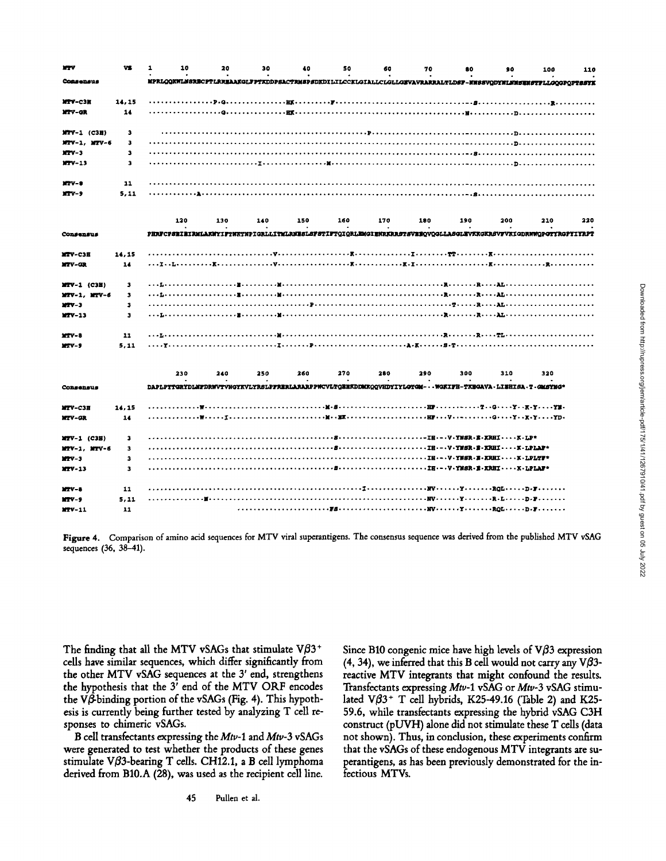| <b>MTV</b>        | VS.   | 1<br>10                                                                                                          | 20  | 30  | 40  | 50  | 60                                     | 70  | 80  | 90  | 100 | 110 |
|-------------------|-------|------------------------------------------------------------------------------------------------------------------|-----|-----|-----|-----|----------------------------------------|-----|-----|-----|-----|-----|
| Consensus         |       | MPRLOOKWLMSRECPTLRREAAKGLFPTKDDPSACTRMSPSDKDILILCCKLGIALLCLGLLGEVAVRARRALTLDSF-WWSSVQDYMLWMSEMSTFLLGQGPQFTSSYK   |     |     |     |     |                                        |     |     |     |     |     |
| MTV-C3H           | 14,15 |                                                                                                                  |     |     |     |     |                                        |     |     |     |     |     |
| <b>XTV-GR</b>     | 14    |                                                                                                                  |     |     |     |     |                                        |     |     |     |     |     |
| $MTV-1$ (C3H)     | з     |                                                                                                                  |     |     |     |     |                                        |     |     |     |     |     |
| MTV-1, MTV-6      | з     |                                                                                                                  |     |     |     |     |                                        |     |     |     |     |     |
| $NTV-3$           | з     |                                                                                                                  |     |     |     |     |                                        |     |     |     |     |     |
| $MTV-13$          | 3     |                                                                                                                  |     |     |     |     |                                        |     |     |     |     |     |
| $RTV - 0$         | 11    |                                                                                                                  |     |     |     |     |                                        |     |     |     |     |     |
| $MTV - 9$         | 5.11  |                                                                                                                  |     |     |     |     |                                        |     |     |     |     |     |
|                   |       | 120                                                                                                              | 130 | 140 | 150 | 160 | 170                                    | 190 | 190 | 200 | 210 | 220 |
| Consensus         |       | PHRFCPSEIEIRMLAKWYIFTNKTNPIGRLLITMLRNESLSFSTIFTQIQRLEMGIENRKRRSTSVEEQVQGLLASGLEVKKGKRSVFVKIGDRWWQPGTYRGPYIYRPT   |     |     |     |     |                                        |     |     |     |     |     |
| <b>MTV-C3H</b>    | 14,15 |                                                                                                                  |     |     |     |     |                                        |     |     |     |     |     |
| <b>MTV-GR</b>     | 14    |                                                                                                                  |     |     |     |     |                                        |     |     |     |     |     |
| $MTV - 1$ (C3H)   | з     |                                                                                                                  |     |     |     |     |                                        |     |     |     |     |     |
| $MTV-1$ , $MTV-6$ | з     |                                                                                                                  |     |     |     |     |                                        |     |     |     |     |     |
| $27V - 3$         | з     |                                                                                                                  |     |     |     |     |                                        |     |     |     |     |     |
| $MTV - 13$        | з     |                                                                                                                  |     |     |     |     |                                        |     |     |     |     |     |
| $27V - 8$         | 11    |                                                                                                                  |     |     |     |     |                                        |     |     |     |     |     |
| $MTV-9$           | 5,11  |                                                                                                                  |     |     |     |     |                                        |     |     |     |     |     |
|                   |       | 230                                                                                                              | 240 | 250 | 260 | 270 | 280                                    | 290 | 300 | 310 | 320 |     |
| Consensus         |       | DAPLPYTGRYDLMFDRWVTVNGYKVLYRSLPFRERLARARPPWCVLTQEEKDDMKQQVHDYIYLGTGM- · · WGKIFH-TKBGAVA · LISHISA · T · GMSYMG* |     |     |     |     |                                        |     |     |     |     |     |
| <b>MTV-C3H</b>    | 14,15 |                                                                                                                  |     |     |     |     |                                        |     |     |     |     |     |
| <b>NTV-GR</b>     | 14    |                                                                                                                  |     |     |     |     |                                        |     |     |     |     |     |
| MTV-1 (C3H)       | з     |                                                                                                                  |     |     |     |     |                                        |     |     |     |     |     |
| $MTV-1.$ $MTV-6$  | з     |                                                                                                                  |     |     |     |     | IH -- V. YMSR . E - KRHI - K - LPLAP*  |     |     |     |     |     |
| $MTV-3$           | з     |                                                                                                                  |     |     |     |     | IH .- . V . YMSR . E . KRHI K . LPLTF* |     |     |     |     |     |
| $17V - 13$        | з     |                                                                                                                  |     |     |     |     | SIH---V-YMSR-E-KRHIX-LPLAF*            |     |     |     |     |     |
| $MTV - B$         | 11    |                                                                                                                  |     |     |     |     |                                        |     |     |     |     |     |
| $MTV - 9$         | 5.11  |                                                                                                                  |     |     |     |     |                                        |     |     |     |     |     |
| $27V - 11$        | 11    |                                                                                                                  |     |     |     |     |                                        |     |     |     |     |     |

**Figure 4. Comparison of amino acid sequences for MTV viral superantigens. The consensus sequence was derived from the published** MTV vSAG **sequences** (36, 38-41).

The finding that all the MTV vSAGs that stimulate  $V\beta3$ <sup>+</sup> **cells have similar sequences, which differ significantly from the other MTV vSAG sequences at the 3' end, strengthens the hypothesis that the 3' end of the MTV ORF encodes**  the V $\hat{\beta}$ -binding portion of the vSAGs (Fig. 4). This hypoth**esis is currently being further tested by analyzing T cell responses to chimeric vSAGs.** 

**B cell transfectants expressing the** *Mtv-1* **and Mtv-3 vSAGs were generated to test whether the products of these genes stimulate VB3-bearing T cells. CH12.1, a B cell lymphoma derived from B10.A (28), was used as the recipient cell line.** 

**45 Pullen et al.** 

Since B10 congenic mice have high levels of  $V\beta$ 3 expression  $(4, 34)$ , we inferred that this B cell would not carry any V $\beta$ 3**reactive MTV integrants that might confound the results. Transfectants expressing Mtv-1 vSAG or Mtv-3 vSAG stimu**lated Vβ3<sup>+</sup> T cell hybrids, K25-49.16 (Table 2) and K25-**59.6, while transfectants expressing the hybrid vSAG C3H construct (pUVH) alone did not stimulate these T cells (data not shown). Thus, in conclusion, these experiments confirm that the vSAGs of these endogenous MTV integrants are superantigens, as has been previously demonstrated for the infectious MTVs.**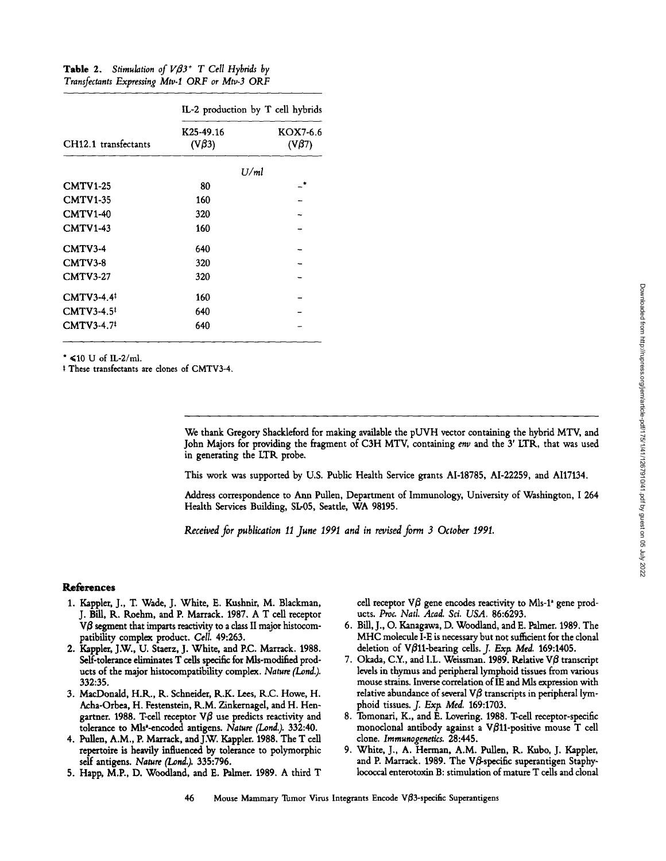Table 2. *Stimulation of VB3<sup>+</sup>* T Cell Hybrids by *Transfectants Expressing Mtv-10RF or MW-3 0RF* 

|                        | IL-2 production by T cell hybrids     |                         |  |  |  |
|------------------------|---------------------------------------|-------------------------|--|--|--|
| CH12.1 transfectants   | K <sub>25</sub> -49.16<br>$(V\beta3)$ | KOX7-6.6<br>$(V\beta7)$ |  |  |  |
|                        | U/ml                                  |                         |  |  |  |
| <b>CMTV1-25</b>        | 80                                    |                         |  |  |  |
| <b>CMTV1-35</b>        | 160                                   |                         |  |  |  |
| <b>CMTV1-40</b>        | 320                                   |                         |  |  |  |
| <b>CMTV1-43</b>        | 160                                   |                         |  |  |  |
| $CMTV3-4$              | 640                                   |                         |  |  |  |
| CMTV3-8                | 320                                   |                         |  |  |  |
| $CMTV3-27$             | 320                                   |                         |  |  |  |
| CMTV3-4.4 <sup>‡</sup> | 160                                   |                         |  |  |  |
| CMTV3-4.5 <sup>‡</sup> | 640                                   |                         |  |  |  |
| CMTV3-4.7              | 640                                   |                         |  |  |  |

 $*$  <10 U of IL-2/ml.

\* These transfectants are clones of CMTV3-4.

We thank Gregory Shackleford for making available the pUVH vector containing the hybrid MTV, and John Majors for providing the fragment of C3H MTV, containing *env* and the 3' LTR, that was used in generating the LTR probe.

This work was supported by U.S. Public Health Service grants AI-18785, AI-22259, and AI17134.

Address correspondence to Ann Pullen, Department of Immunology, University of Washington, I 264 Health Services Building, SL-05, Seattle, WA 98195.

*Received for publication 1I June 1991 and in revised form 3 October 1991.* 

## **References**

- 1. Kappler, J., T. Wade, J. White, E. Kushnir, M. Blackman, J. Bill, R. Roehm, and P. Marrack. 1987. A T cell receptor  $V\beta$  segment that imparts reactivity to a class II major histocompatibility complex product. Cell. 49:263.
- 2. Kappler, J.W., U. Staerz, J. White, and P.C. Marrack. 1988. Self-tolerance eliminates T cells specific for Mls-modified products of the major histocompatibility complex. *Nature (Lond.).*  332:35.
- 3. MacDonald, H.R., R. Schneider, R.K. Lees, R.C. Howe, H. Acha-Orbea, H. Festenstein, R.M. Zinkernagel, and H. Hengartner. 1988. T-cell receptor V $\beta$  use predicts reactivity and tolerance to Mls'-encoded antigens. *Nature (Lond.).* 332:40.
- 4. Pullen, A.M., P. Marrack, and J.W. Kappler. 1988. The T cell repertoire is heavily influenced by tolerance to polymorphic self antigens. *Nature (Lond.).* 335:796.
- 5. Happ, M.P., D. Woodland, and E. Palmer. 1989. A third T

cell receptor  $\nabla\beta$  gene encodes reactivity to Mls-1<sup>2</sup> gene products. *Proc. Natl. Acad. Sci. USA.* 86:6293.

- 6. Bill, J., O. Kanagawa, D. Woodland, and E. Palmer. 1989. The MHC molecule I-E is necessary but not sufficient for the clonal deletion of  $V\beta$ 11-bearing cells. *J. Exp. Med.* **169:1405.**
- 7. Okada, C.Y., and I.L. Weissman. 1989. Relative V $\beta$  transcript levels in thymus and peripheral lymphoid tissues from various mouse strains. Inverse correlation of IE and Mls expression with relative abundance of several  $V\beta$  transcripts in peripheral lymphoid tissues. *J. Exp. Med.* 169:1703.
- 8. Tomonari, K., and E. Lovering. 1988. T-cell receptor-specific monoclonal antibody against a V $\beta$ 11-positive mouse T cell done. *Iramunogenetics.* 28:445.
- 9. White, J., A. Herman, A.M. Pullen, R. Kubo, J. Kappler, and P. Marrack. 1989. The V $\beta$ -specific superantigen Staphylococcal enterotoxin B: stimulation of mature T ceils and donal
- 46 Mouse Mammary Tumor Virus Integrants Encode  $V\beta$ 3-specific Superantigens